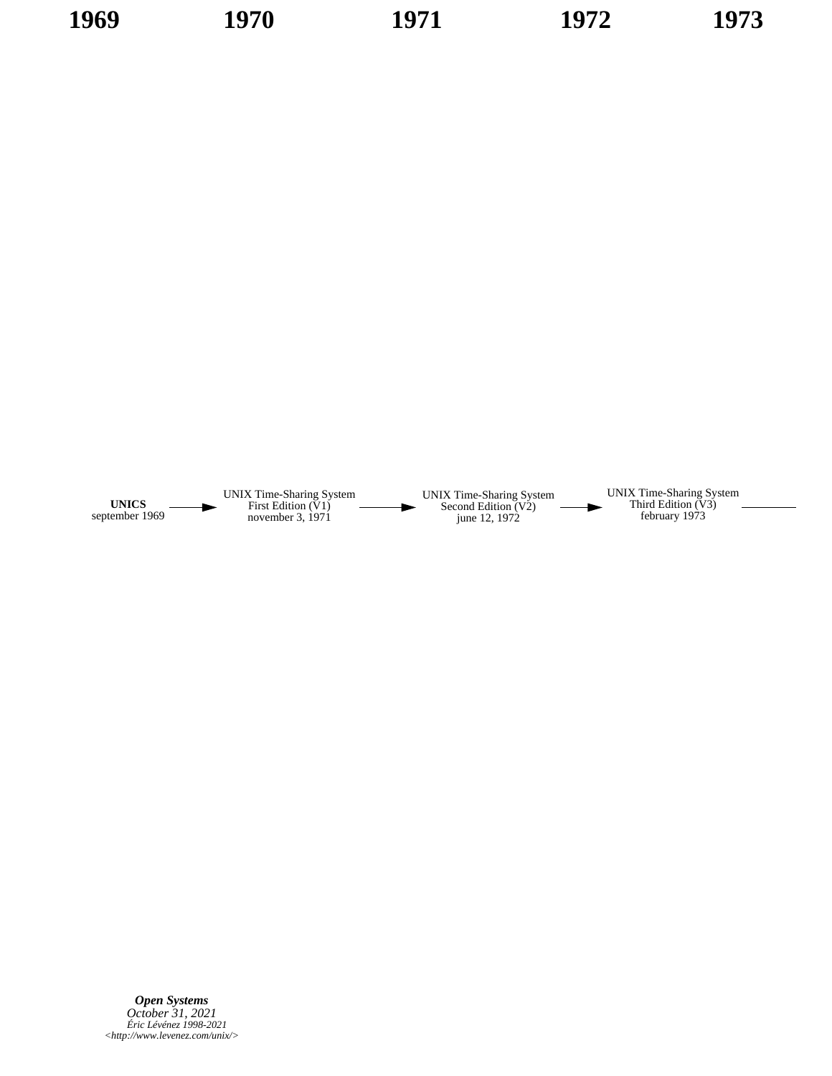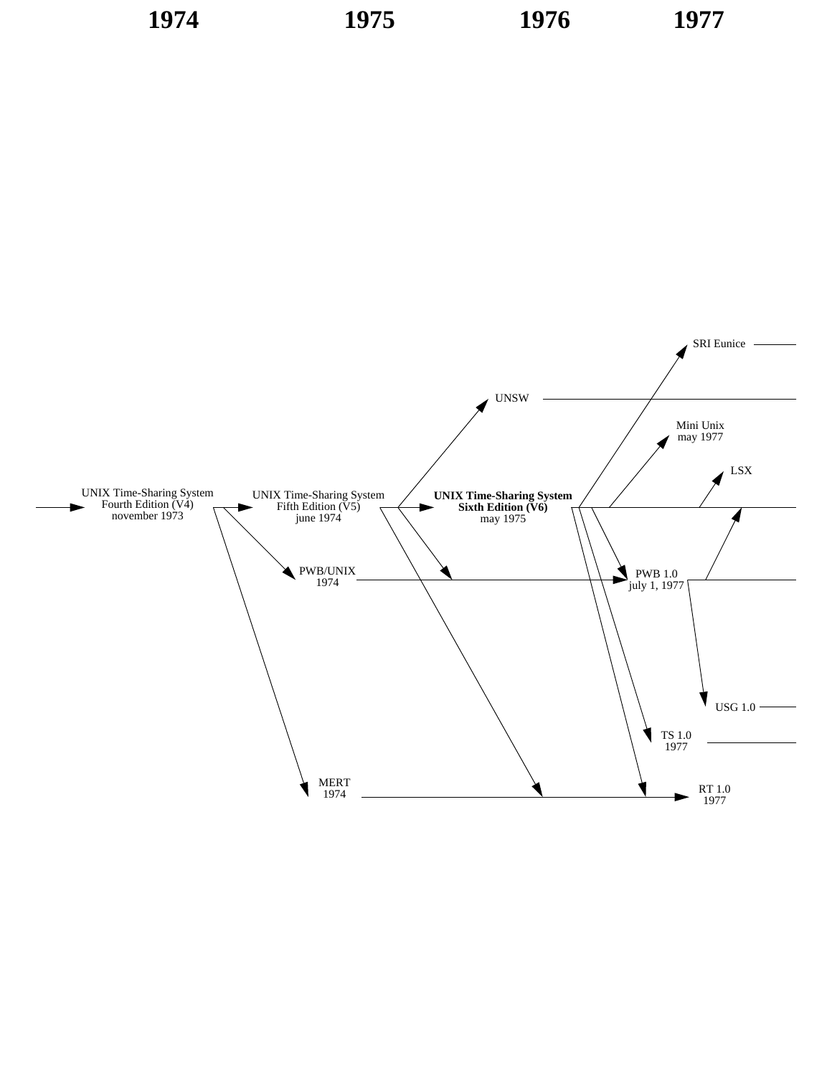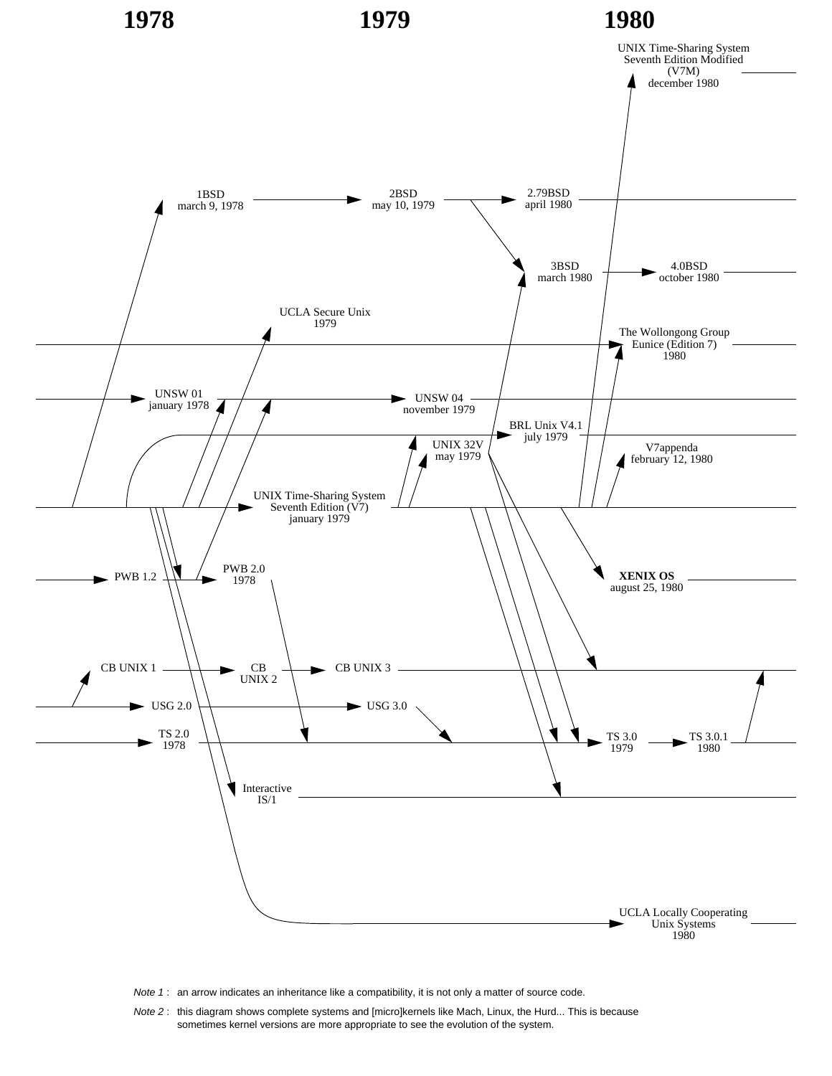

Note 1: an arrow indicates an inheritance like a compatibility, it is not only a matter of source code.

Note 2 : this diagram shows complete systems and [micro]kernels like Mach, Linux, the Hurd... This is because sometimes kernel versions are more appropriate to see the evolution of the system.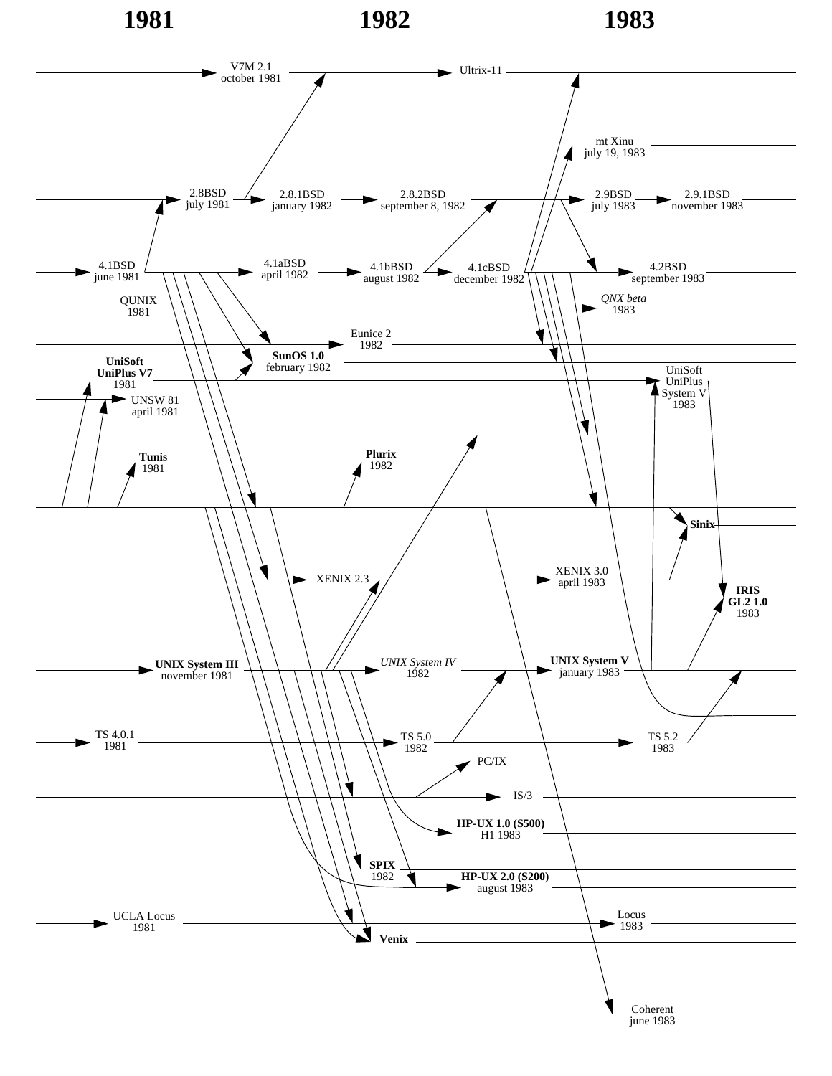**1981 1982 1983**

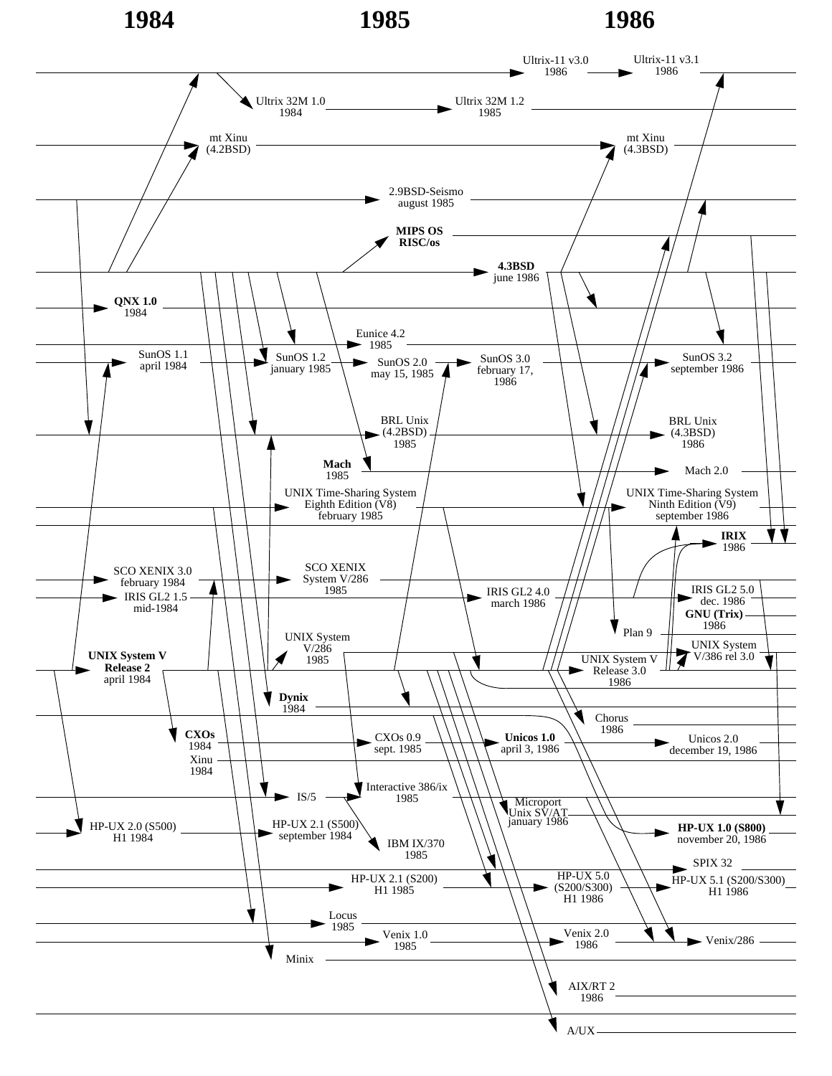## **1984 1985 1986**

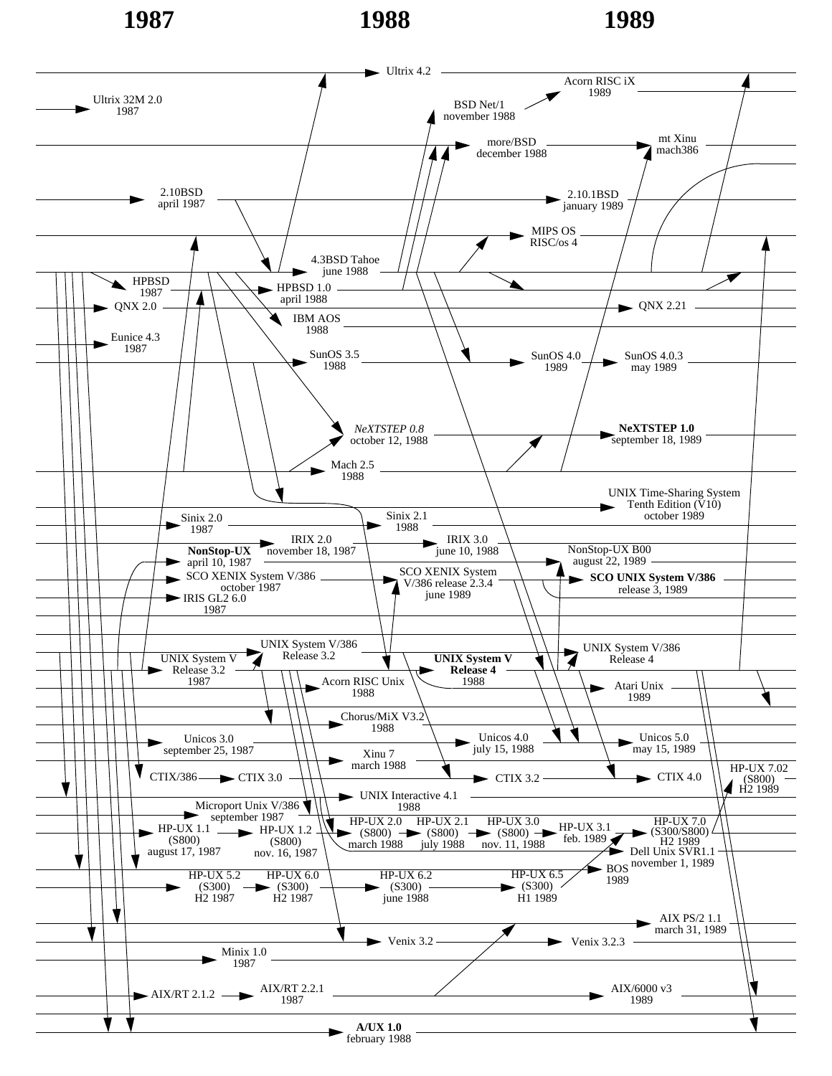**1987 1988 1989**

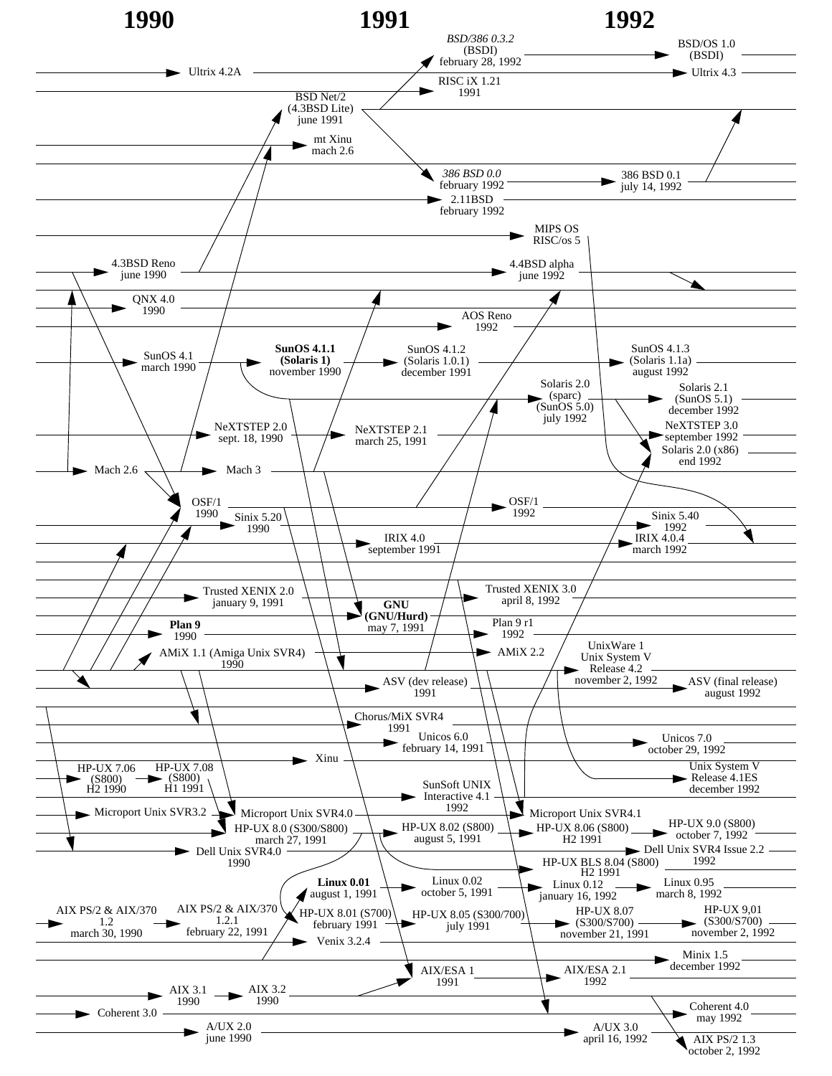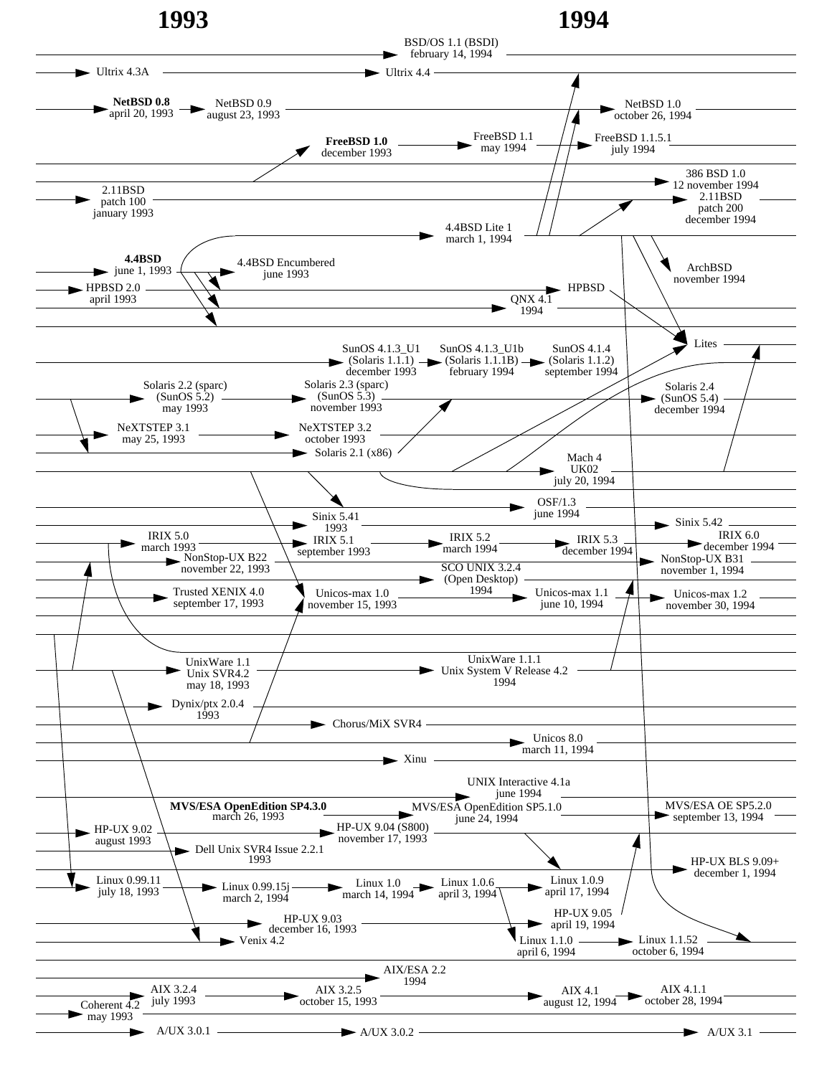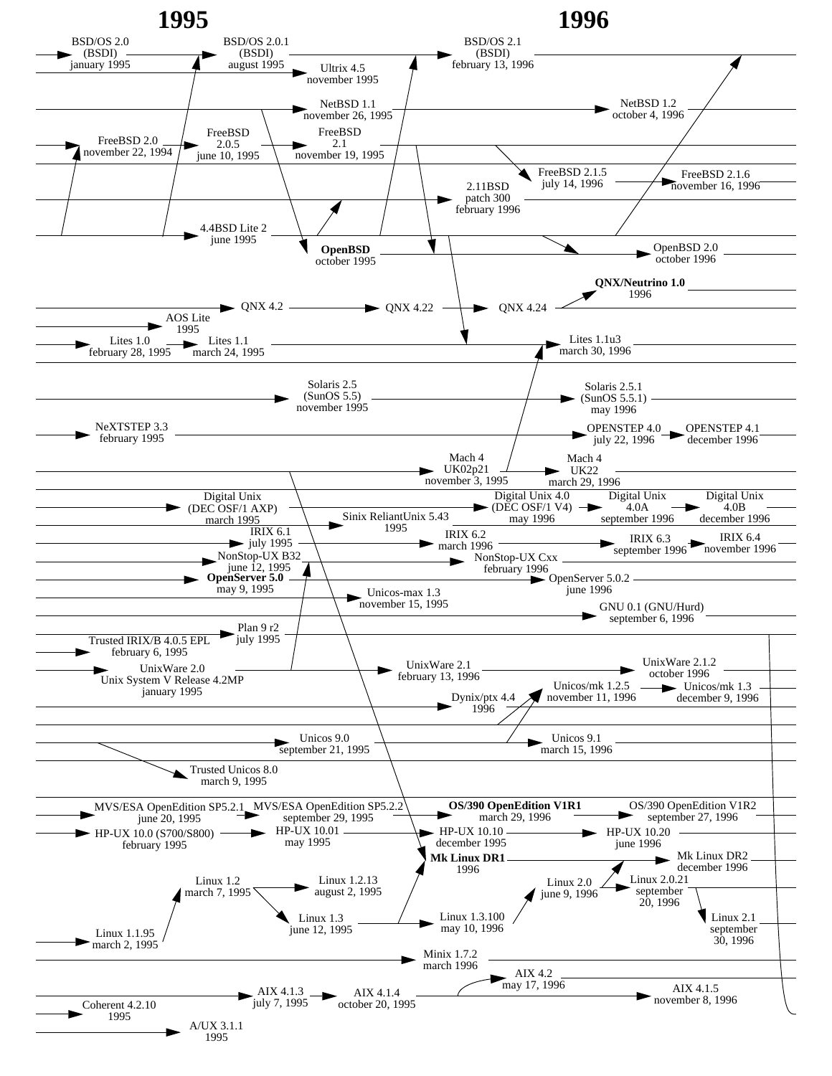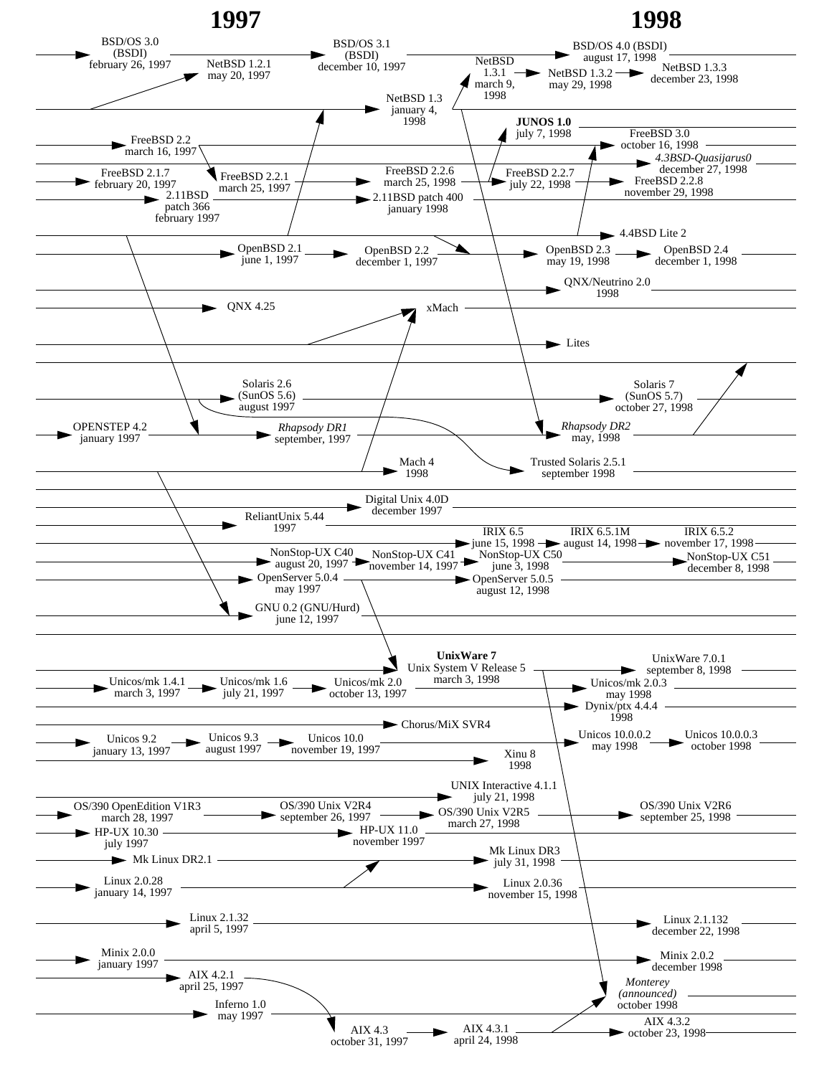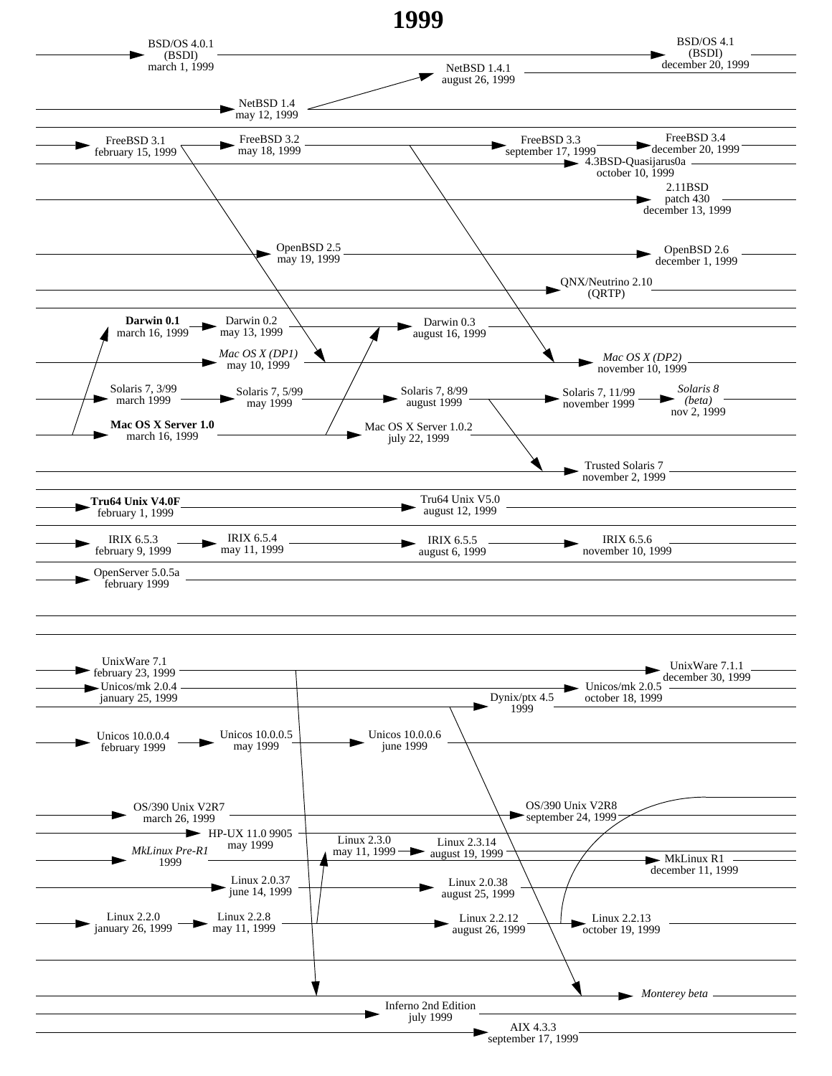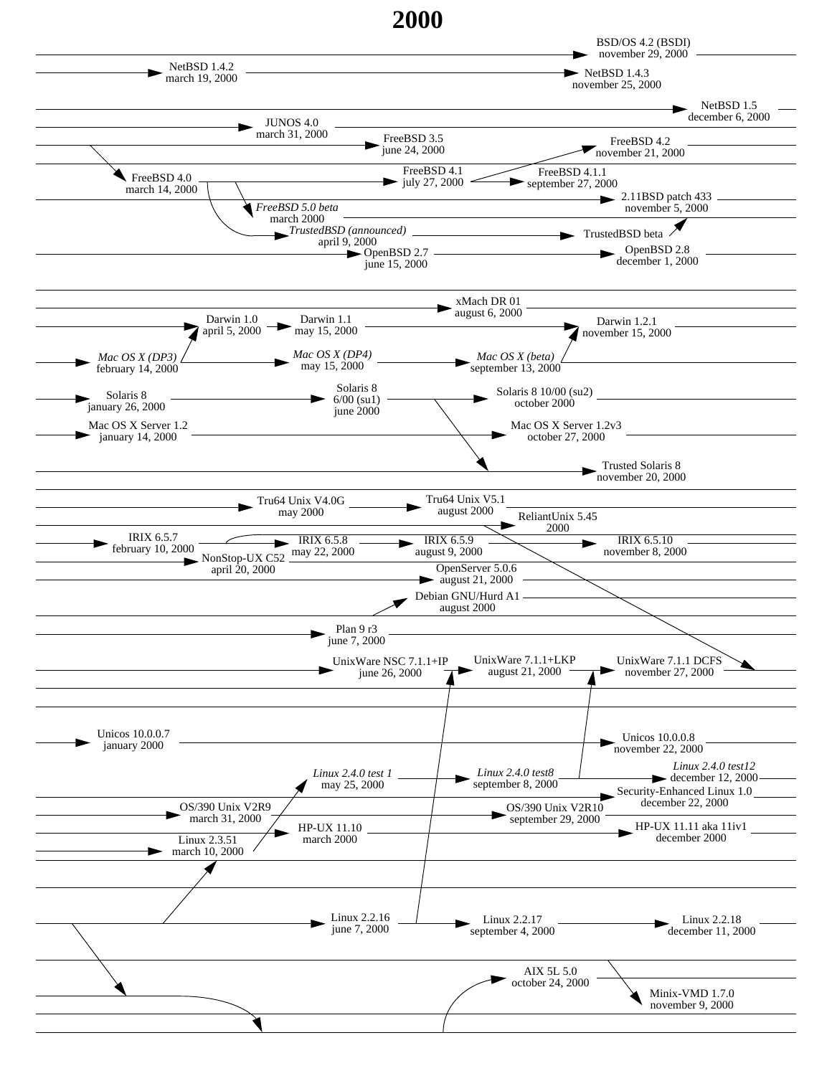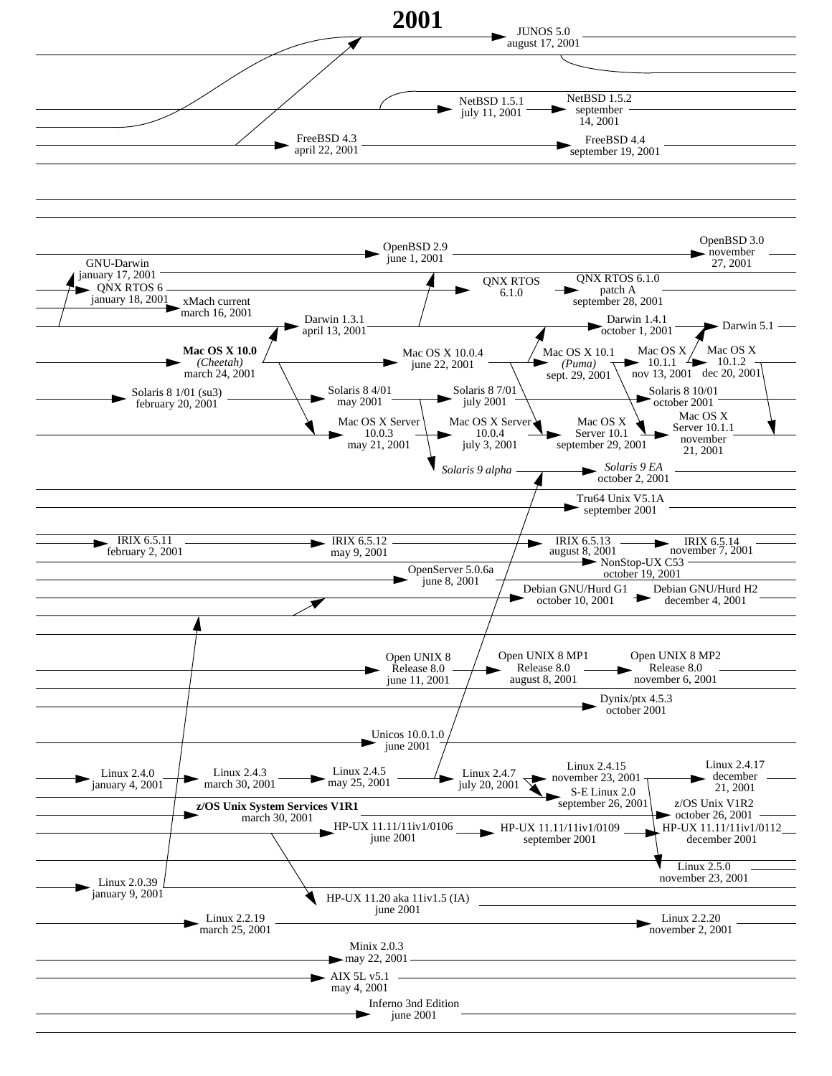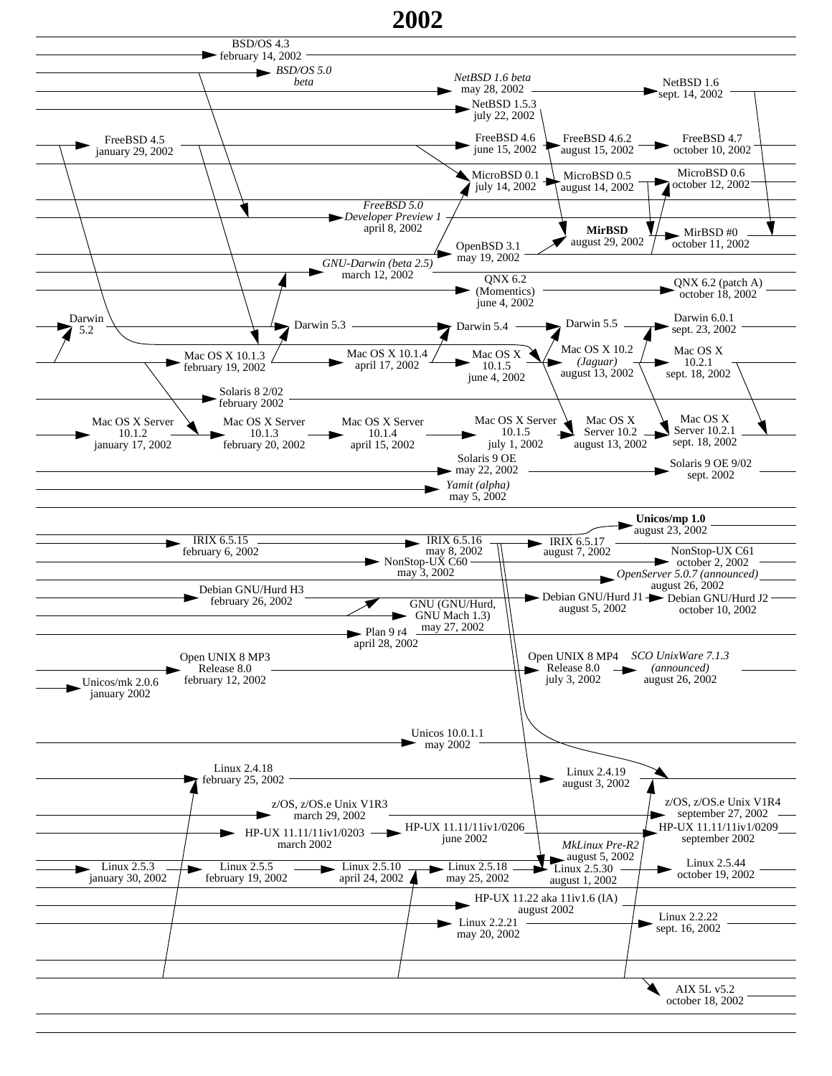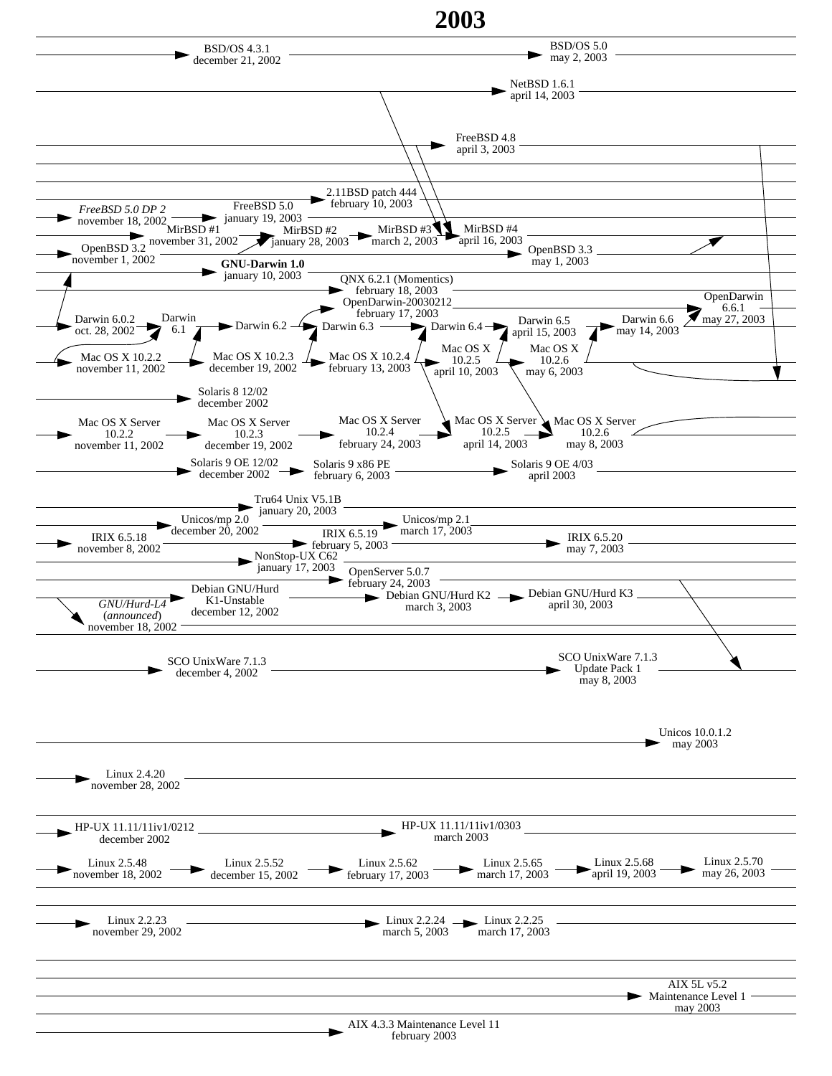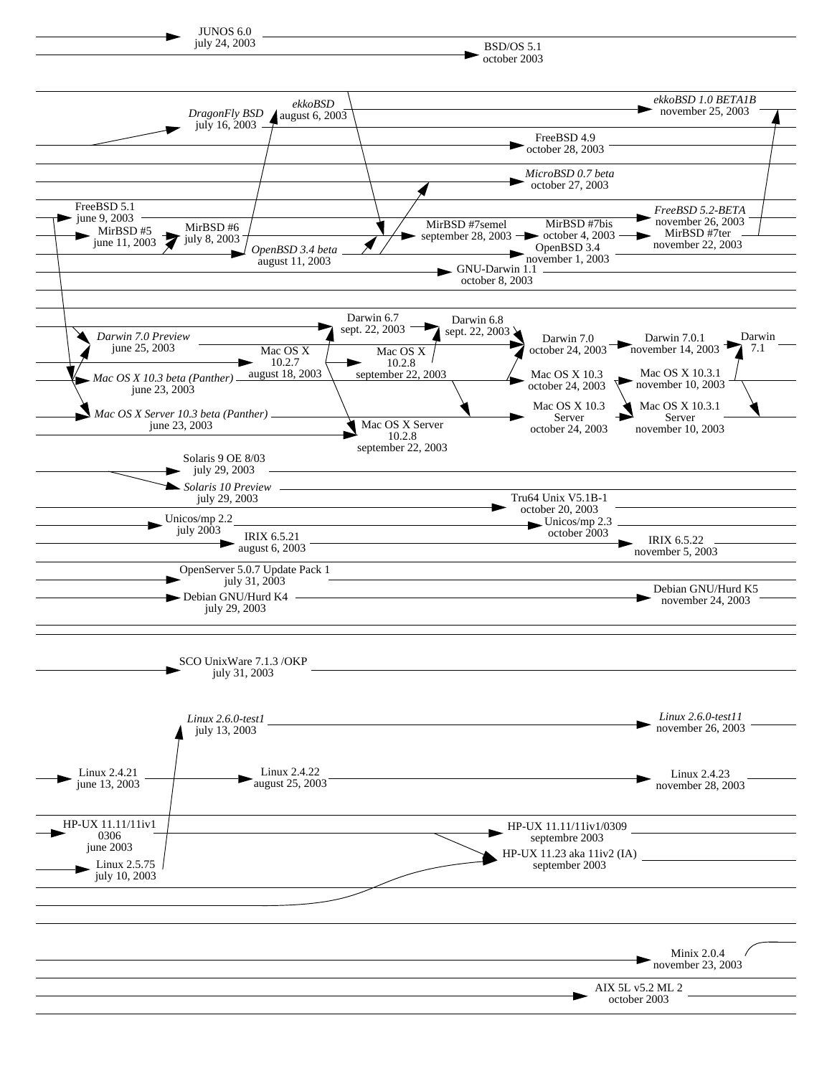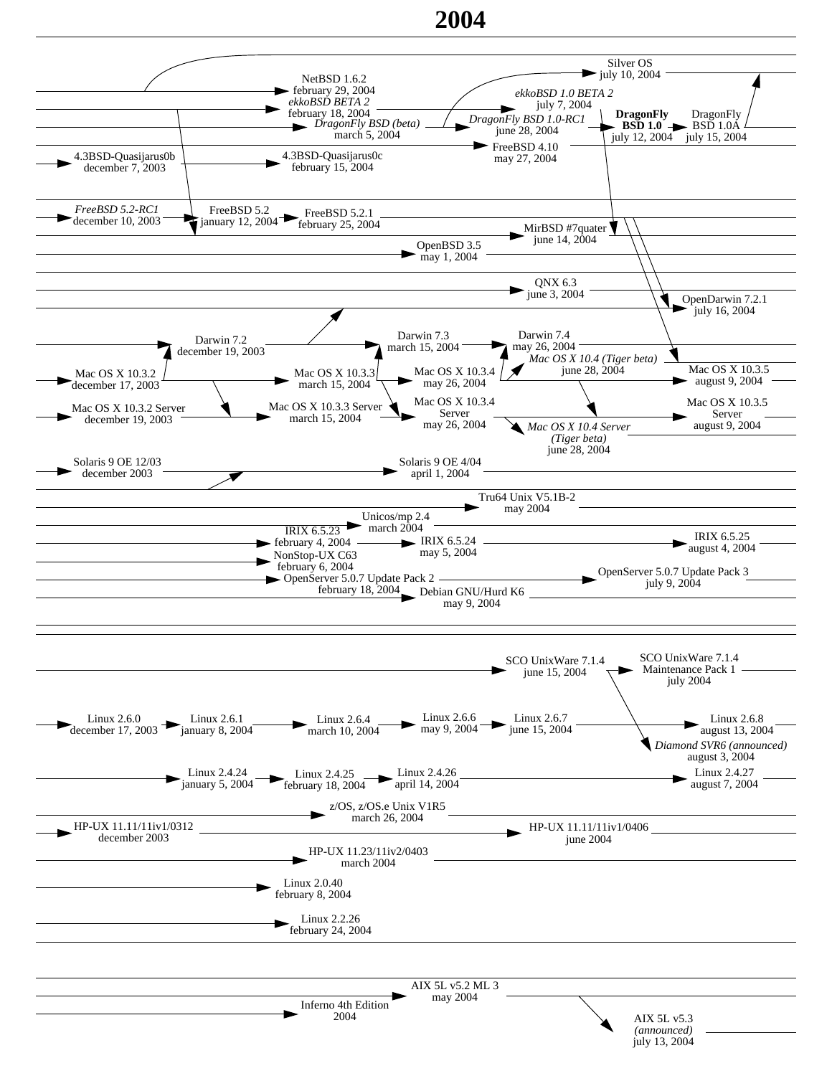## **2004**

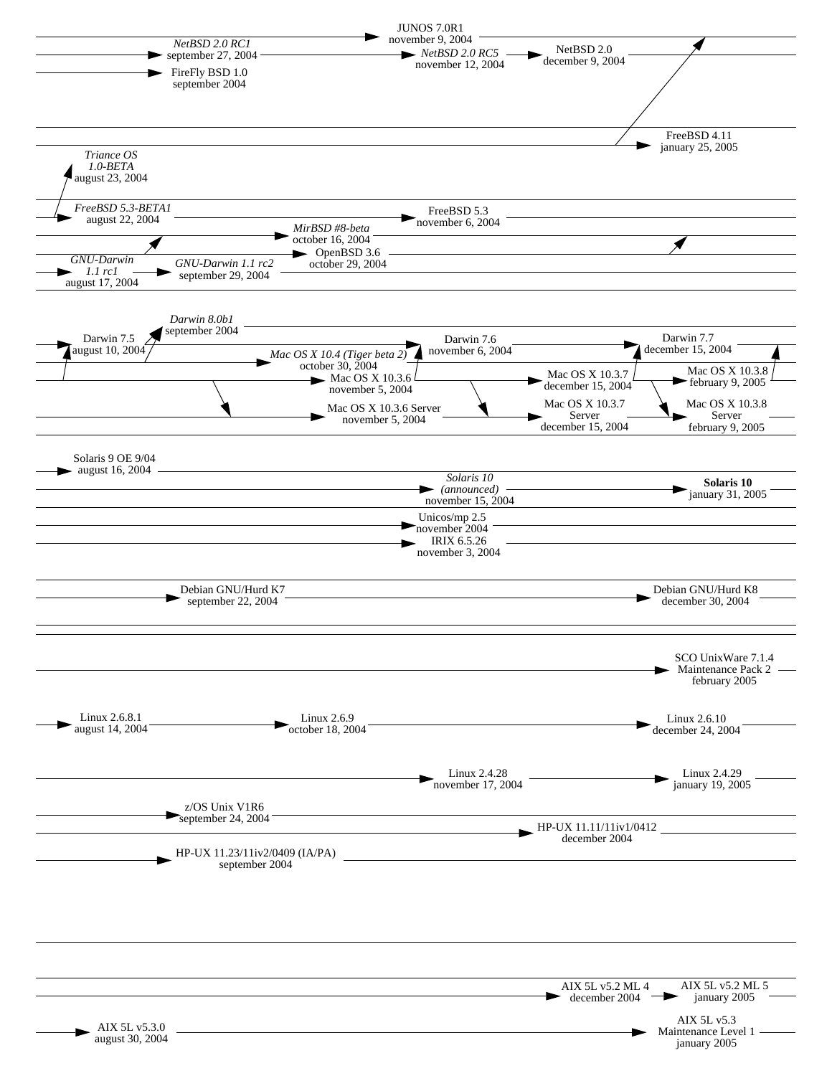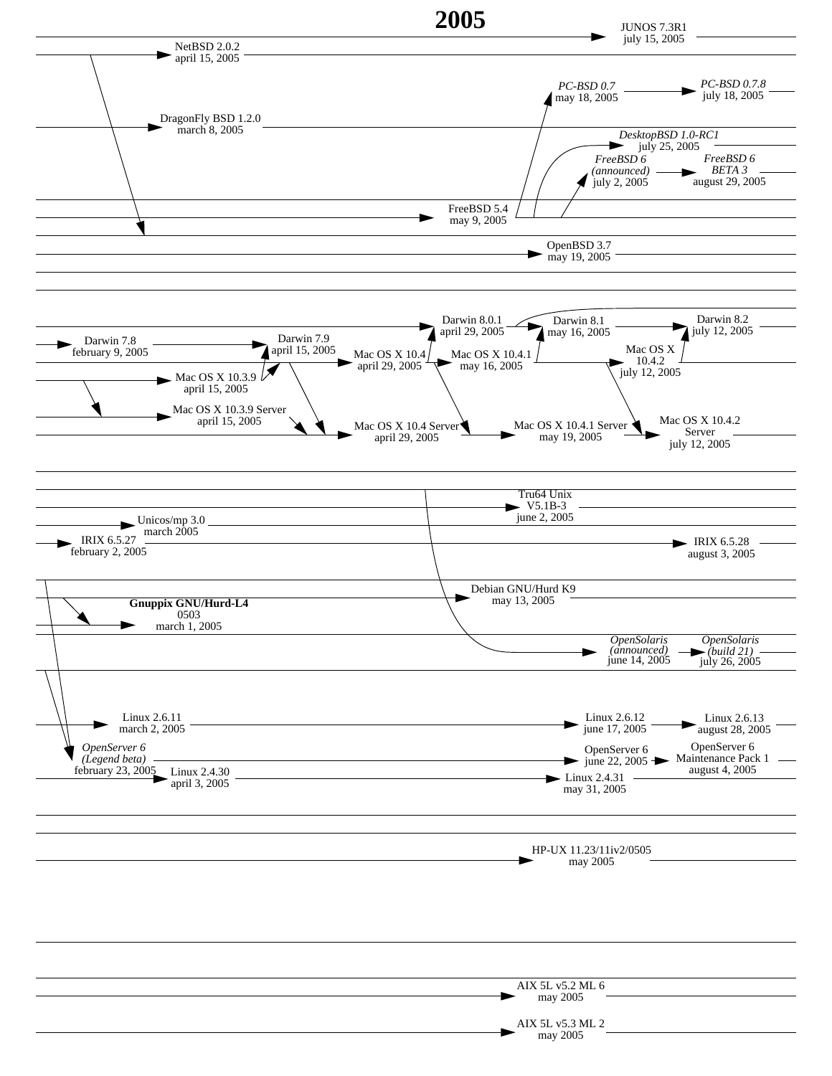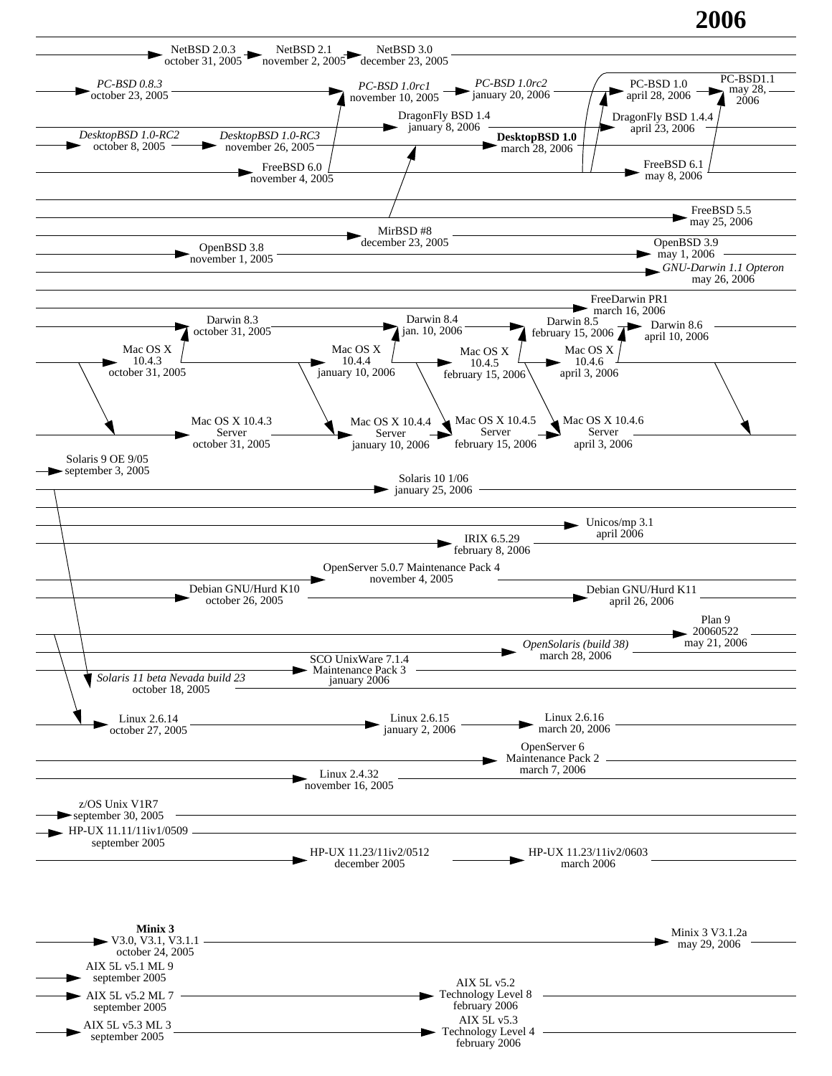## **2006**

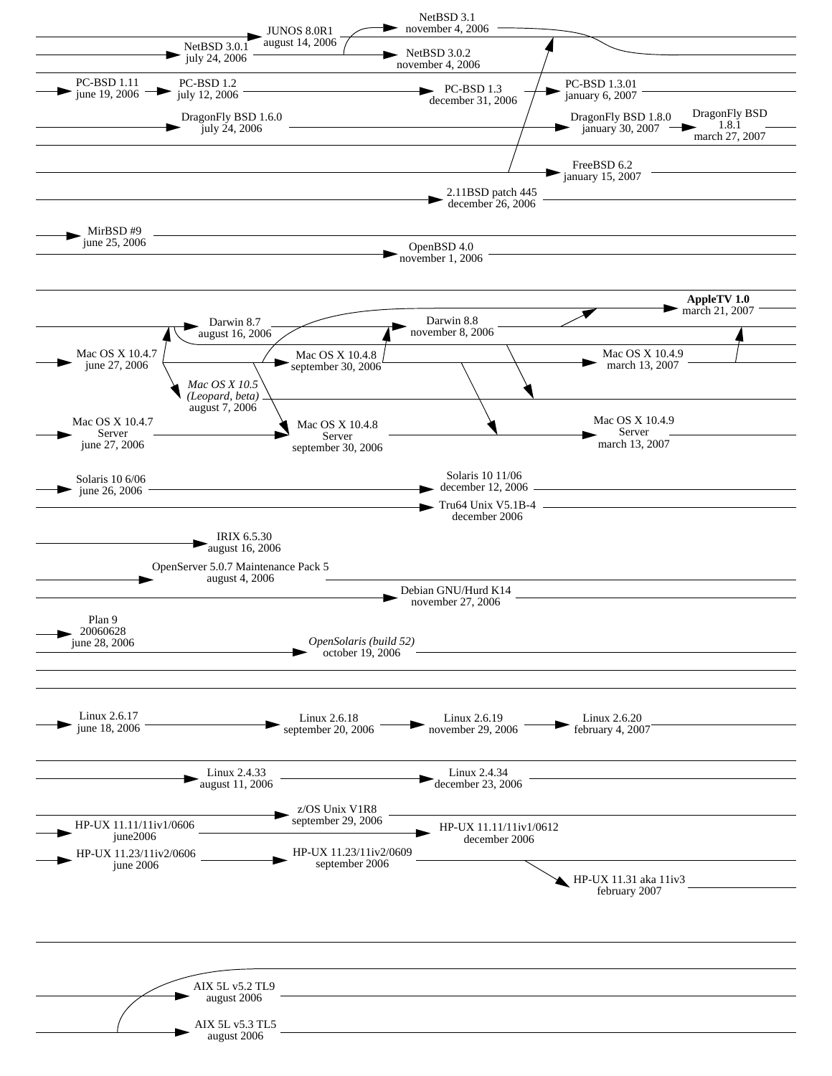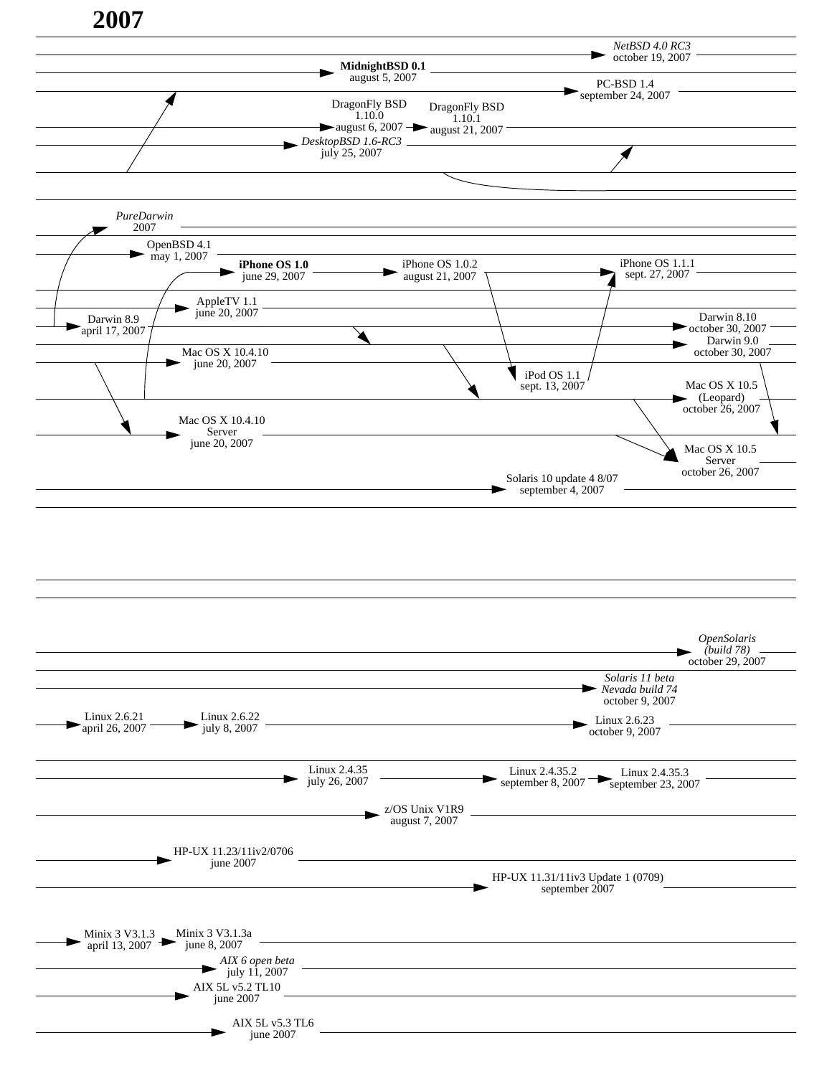

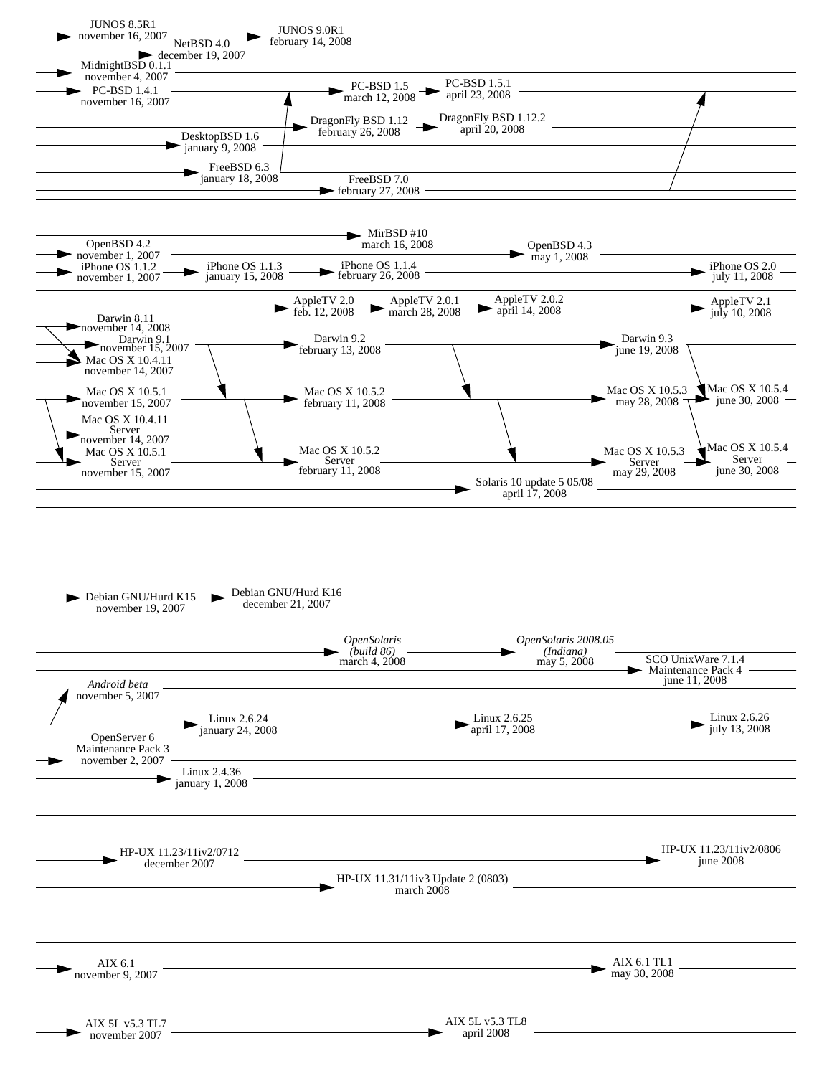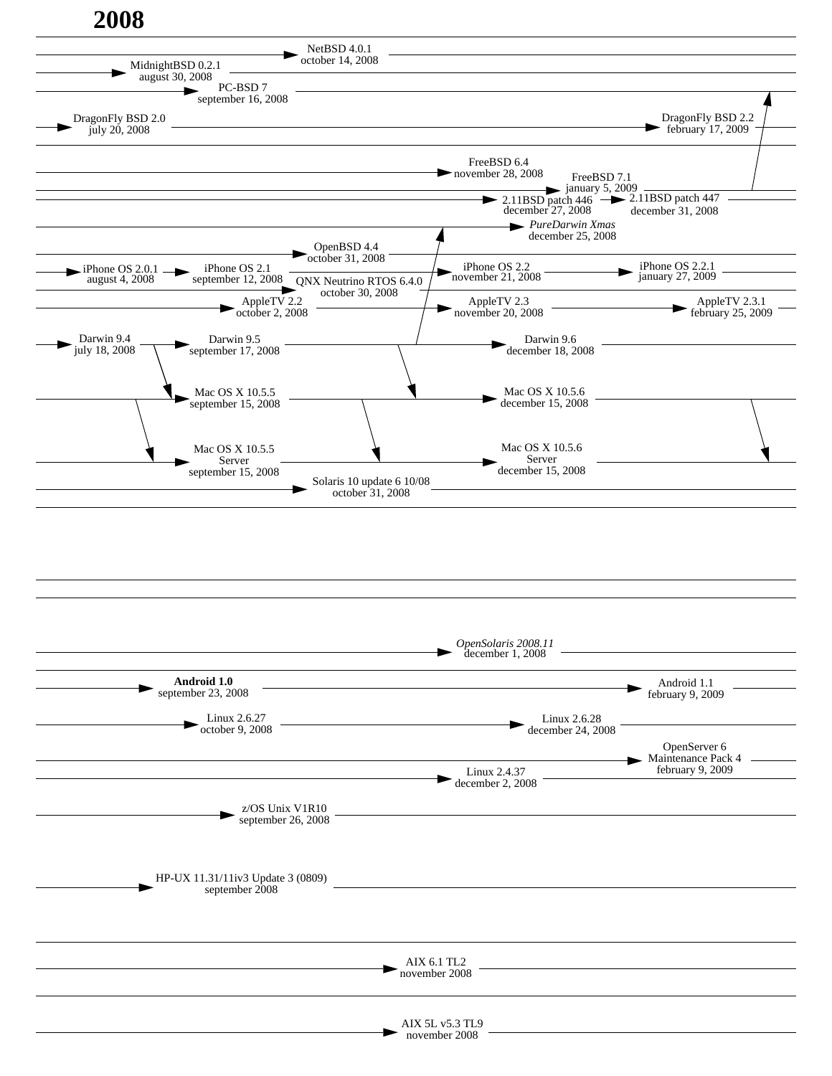

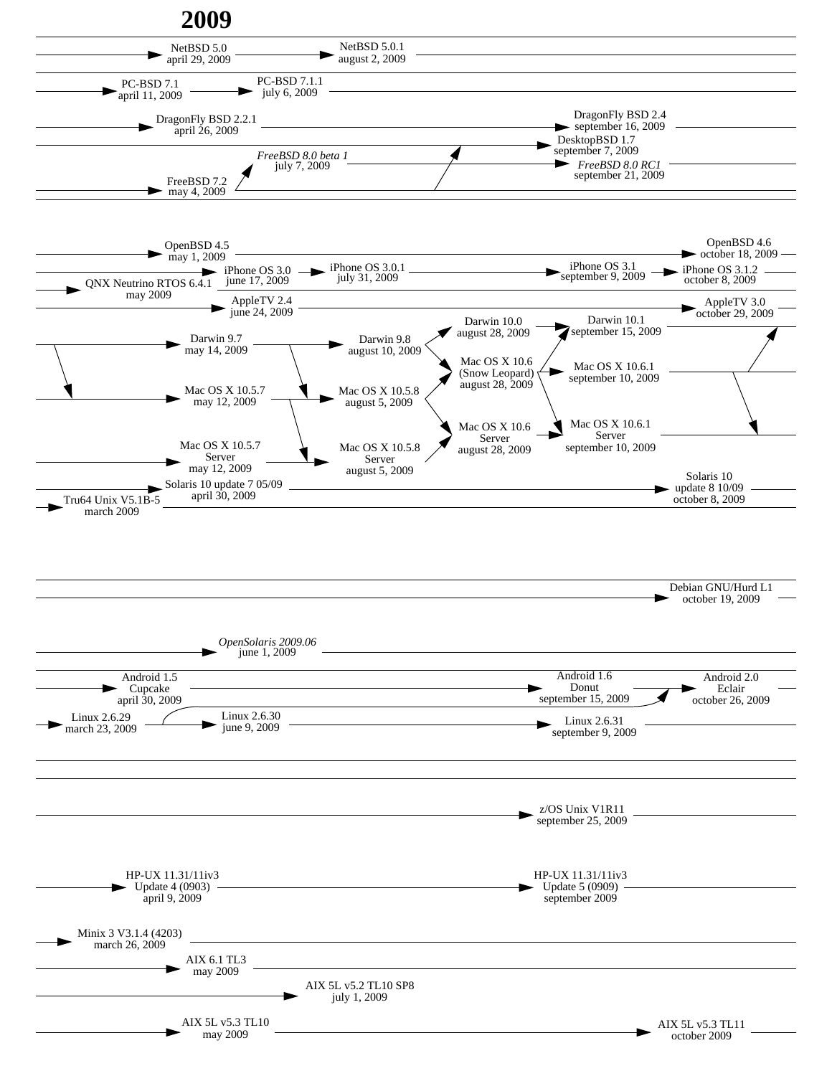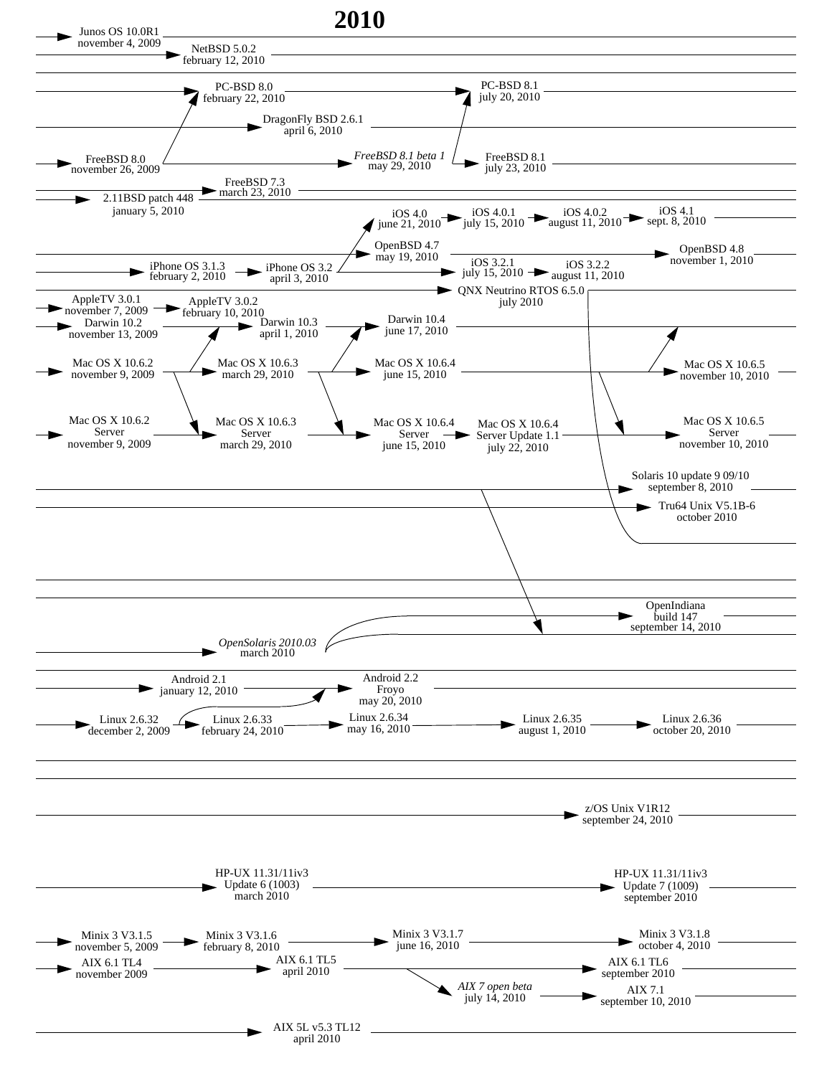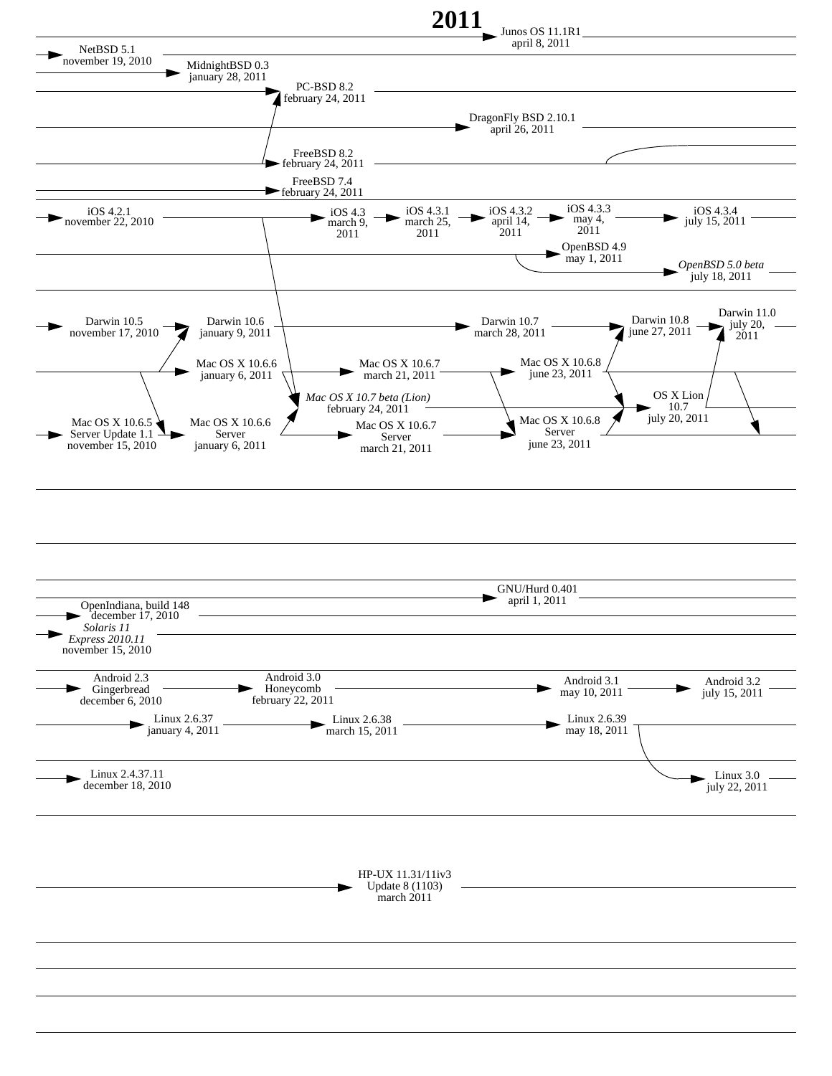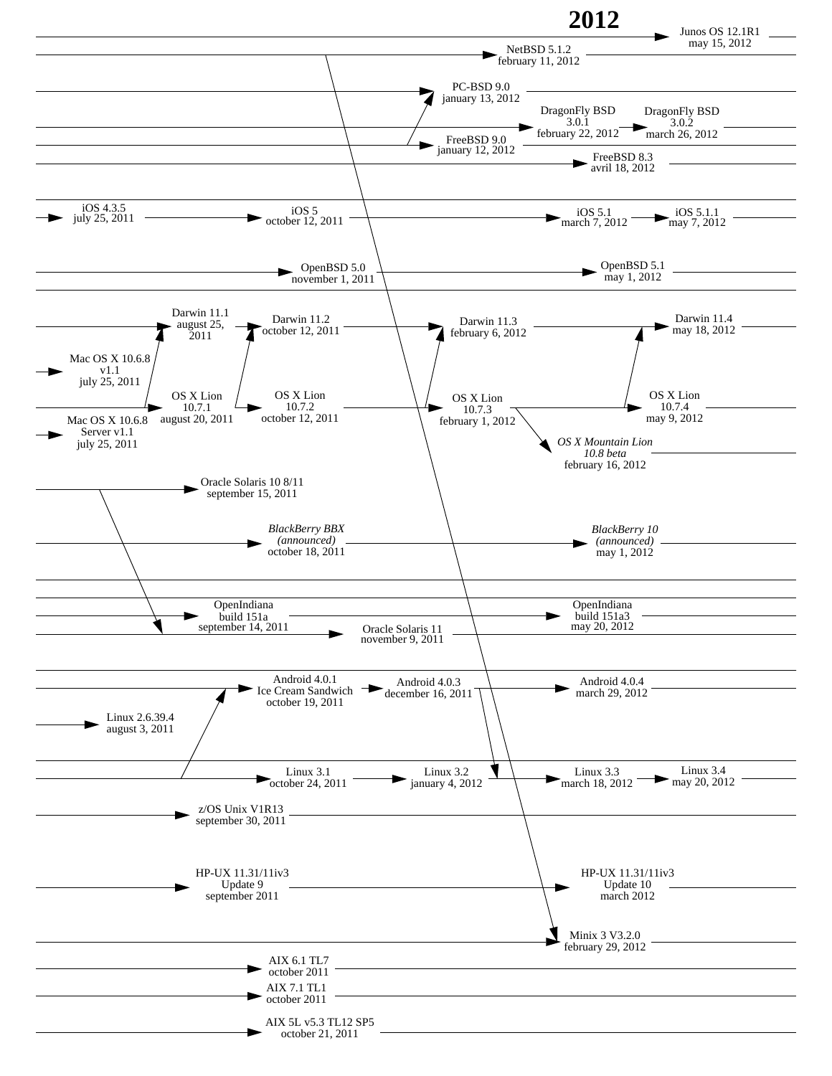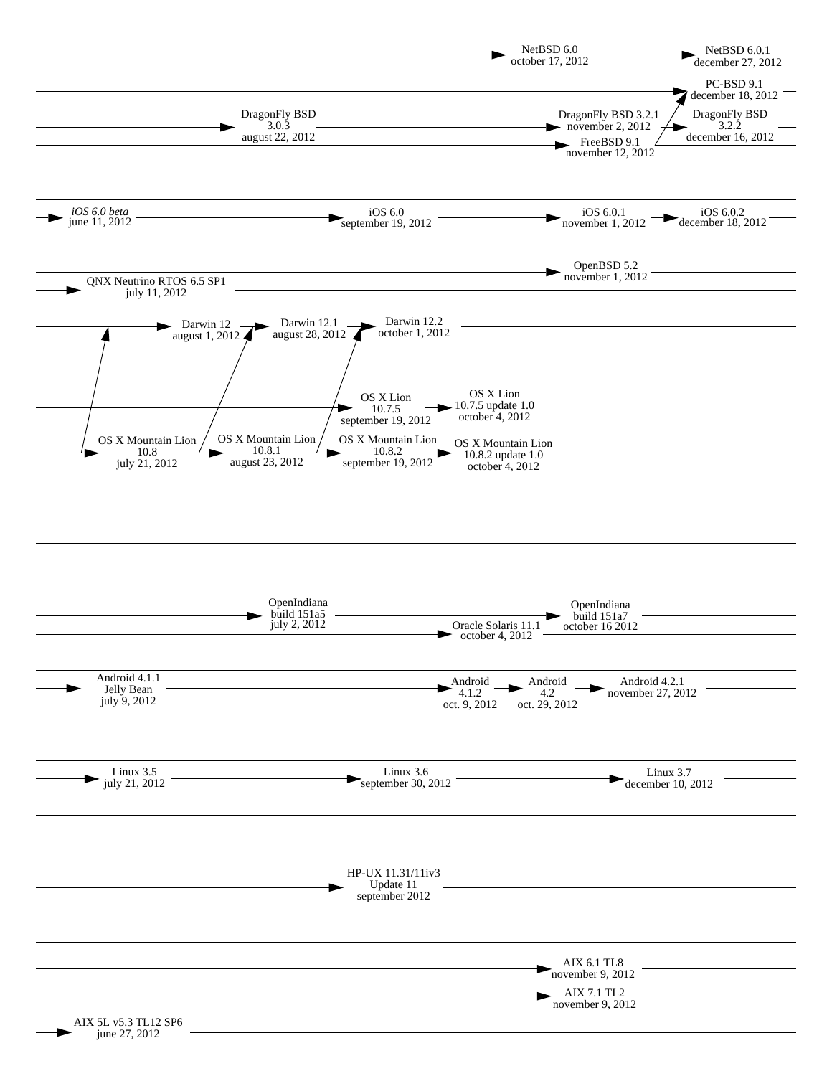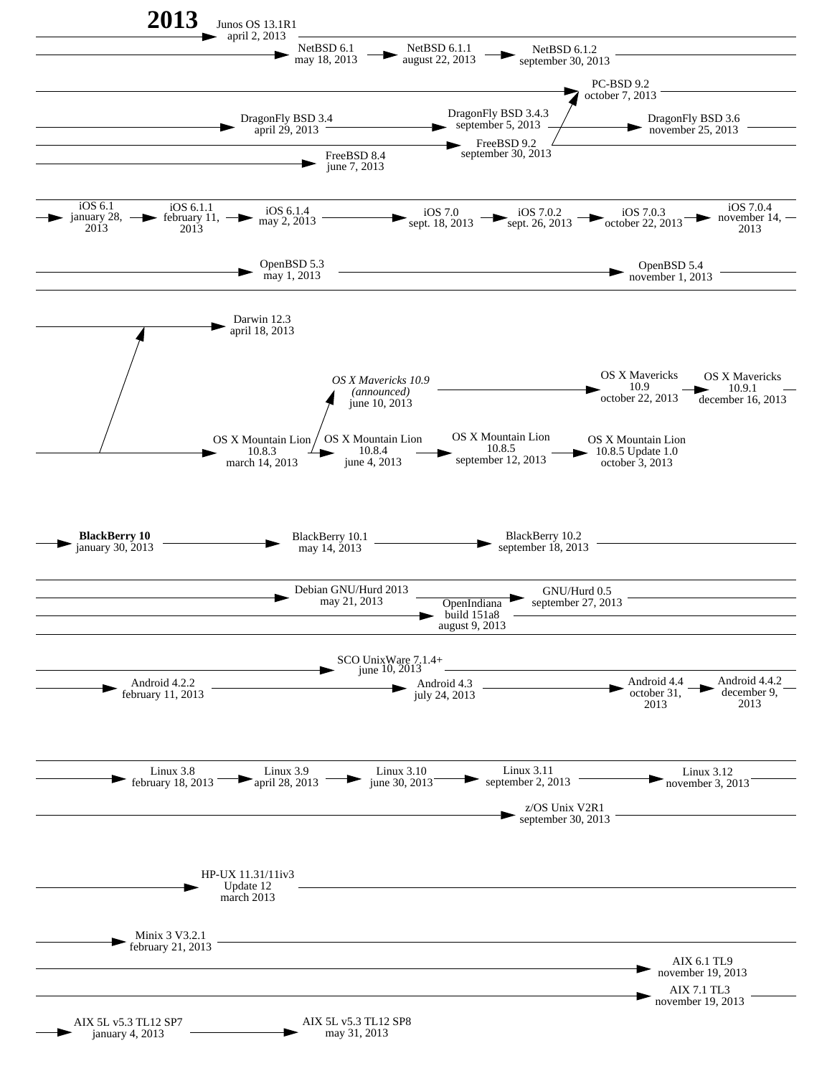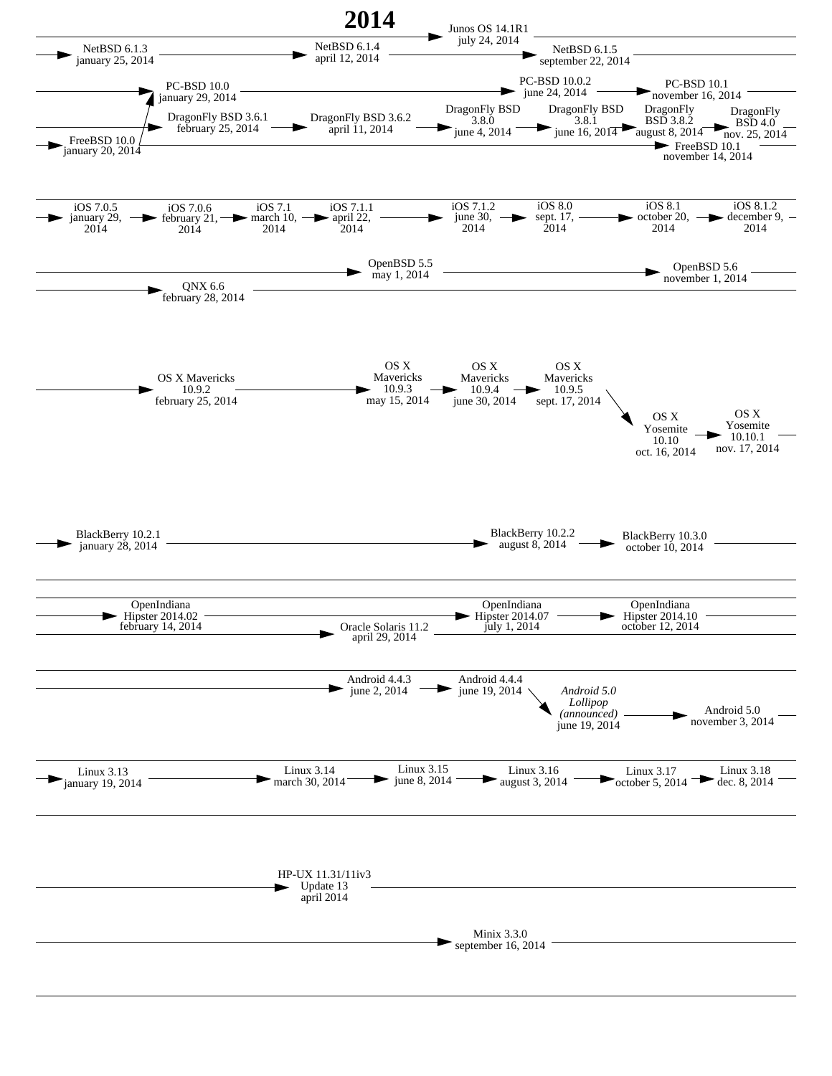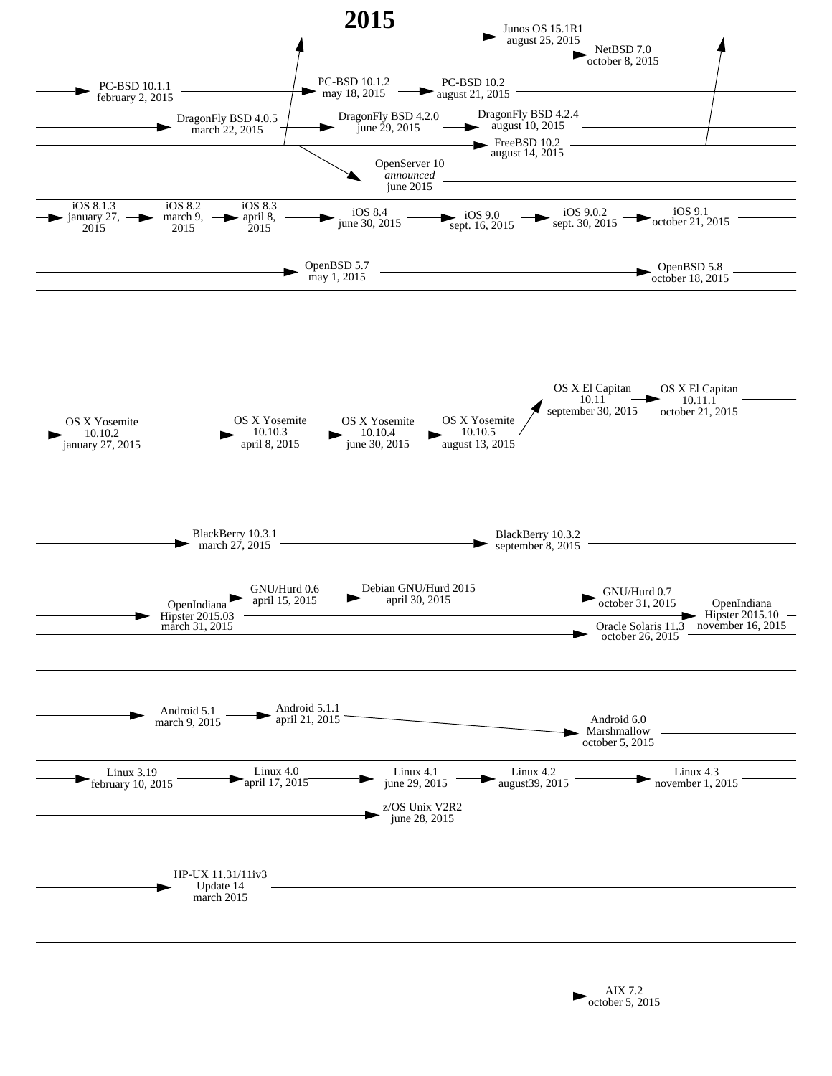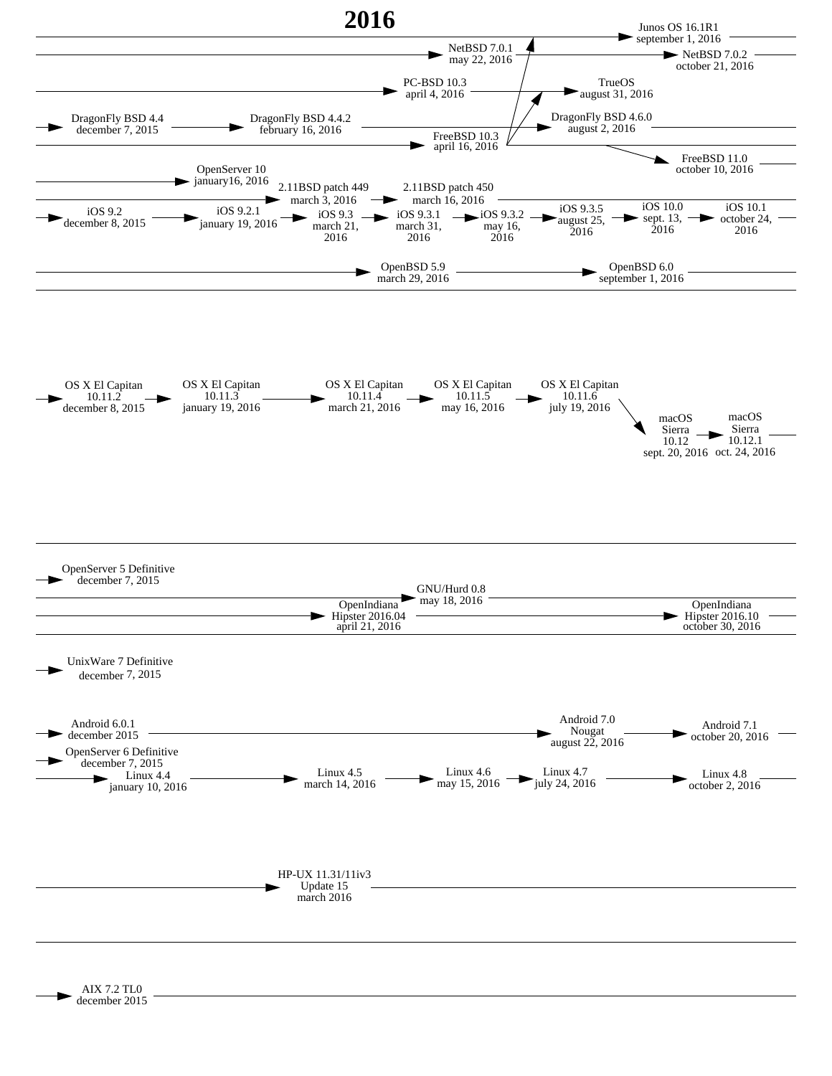

AIX 7.2 TL0 december 2015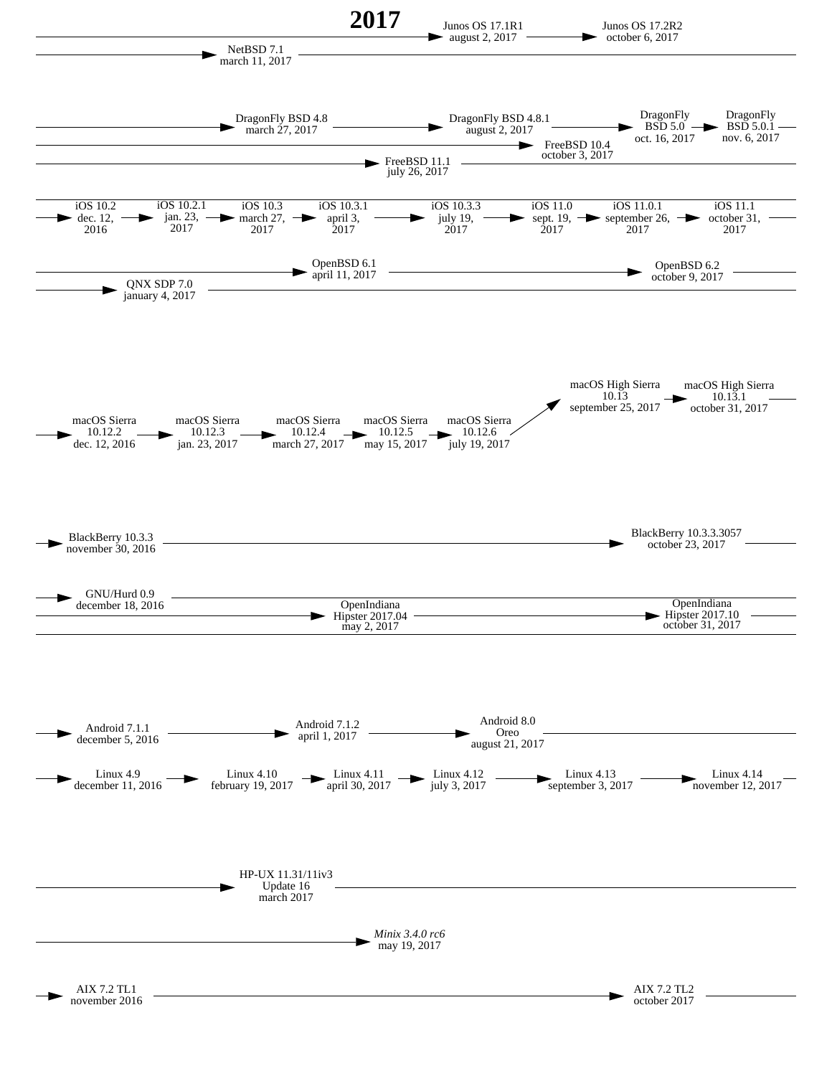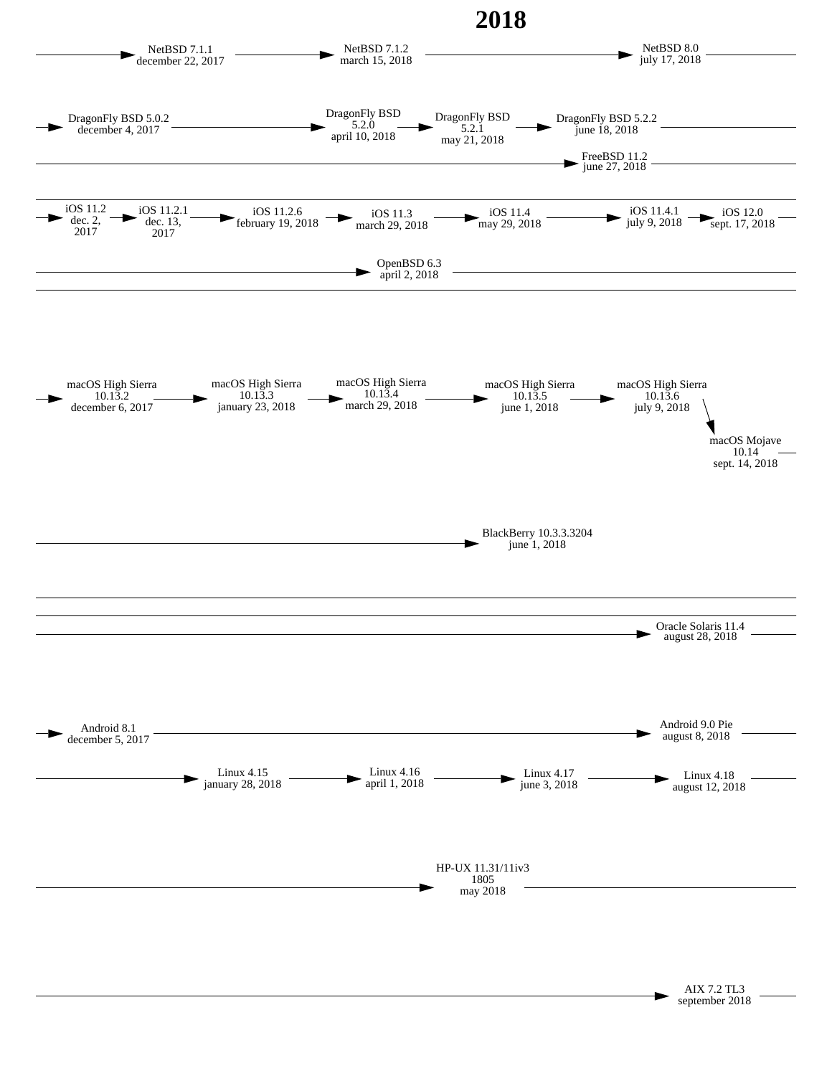

AIX 7.2 TL3 september 2018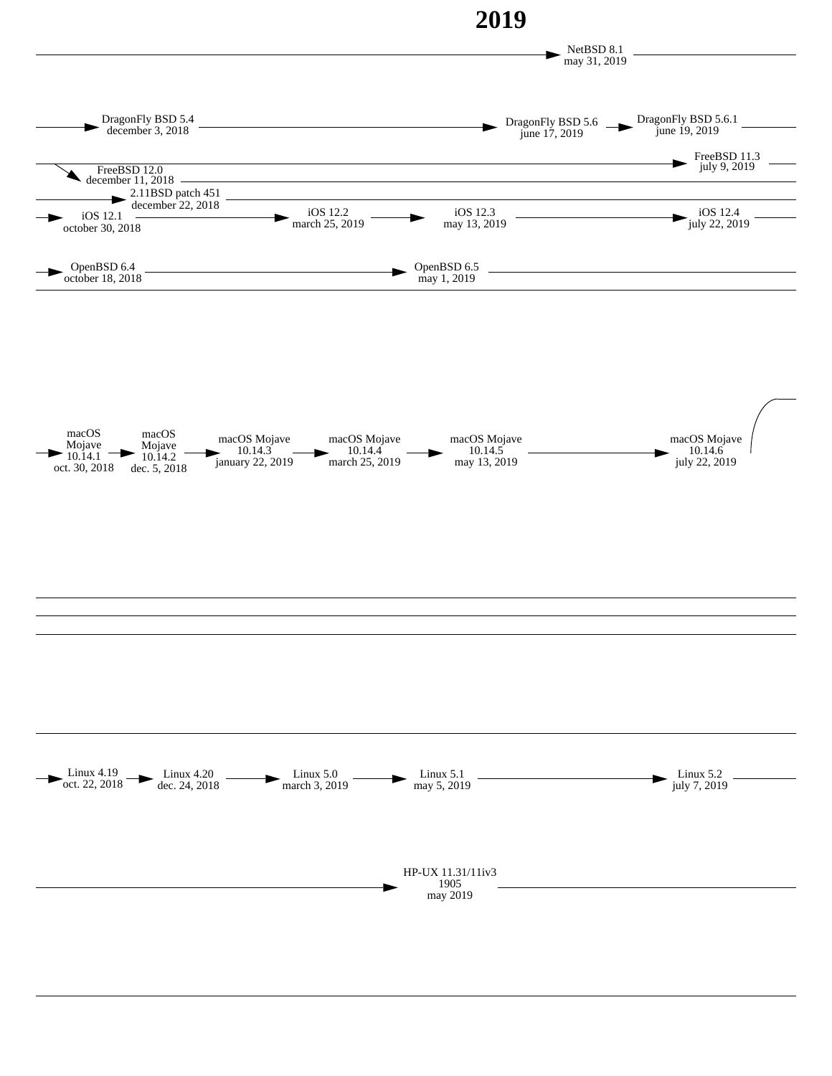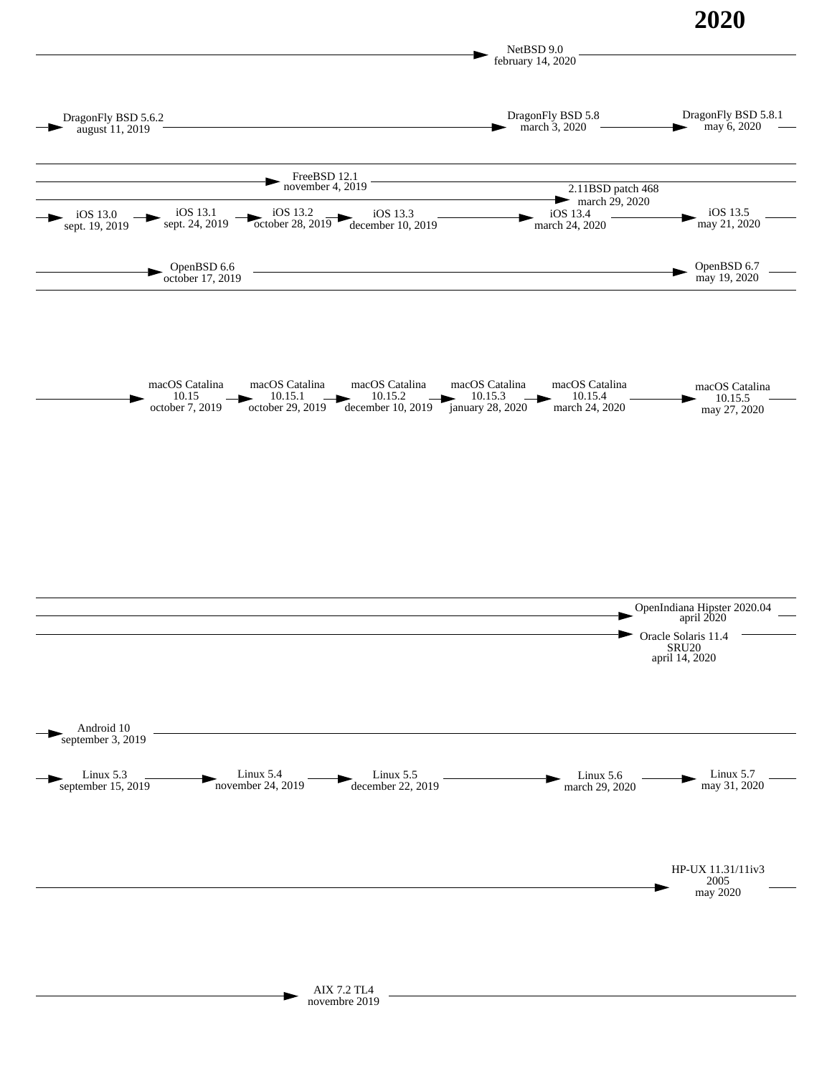**2020**

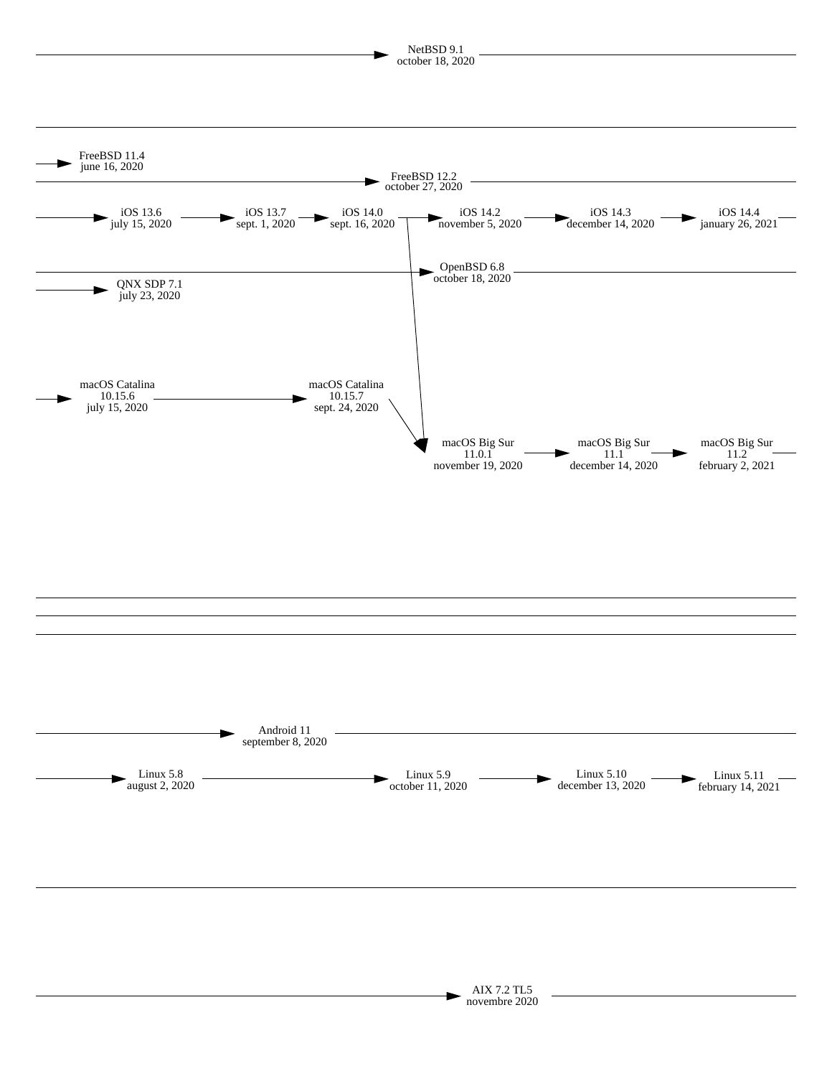

AIX 7.2 TL5 novembre 2020